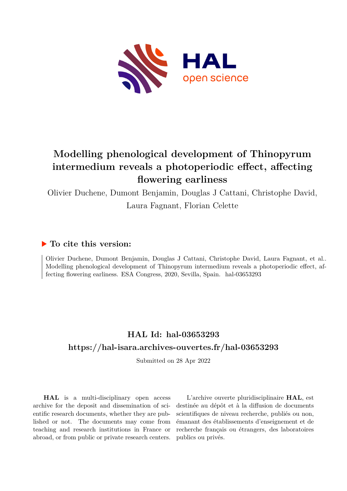

## **Modelling phenological development of Thinopyrum intermedium reveals a photoperiodic effect, affecting flowering earliness**

Olivier Duchene, Dumont Benjamin, Douglas J Cattani, Christophe David, Laura Fagnant, Florian Celette

## **To cite this version:**

Olivier Duchene, Dumont Benjamin, Douglas J Cattani, Christophe David, Laura Fagnant, et al.. Modelling phenological development of Thinopyrum intermedium reveals a photoperiodic effect, affecting flowering earliness. ESA Congress, 2020, Sevilla, Spain. hal-03653293

## **HAL Id: hal-03653293 <https://hal-isara.archives-ouvertes.fr/hal-03653293>**

Submitted on 28 Apr 2022

**HAL** is a multi-disciplinary open access archive for the deposit and dissemination of scientific research documents, whether they are published or not. The documents may come from teaching and research institutions in France or abroad, or from public or private research centers.

L'archive ouverte pluridisciplinaire **HAL**, est destinée au dépôt et à la diffusion de documents scientifiques de niveau recherche, publiés ou non, émanant des établissements d'enseignement et de recherche français ou étrangers, des laboratoires publics ou privés.